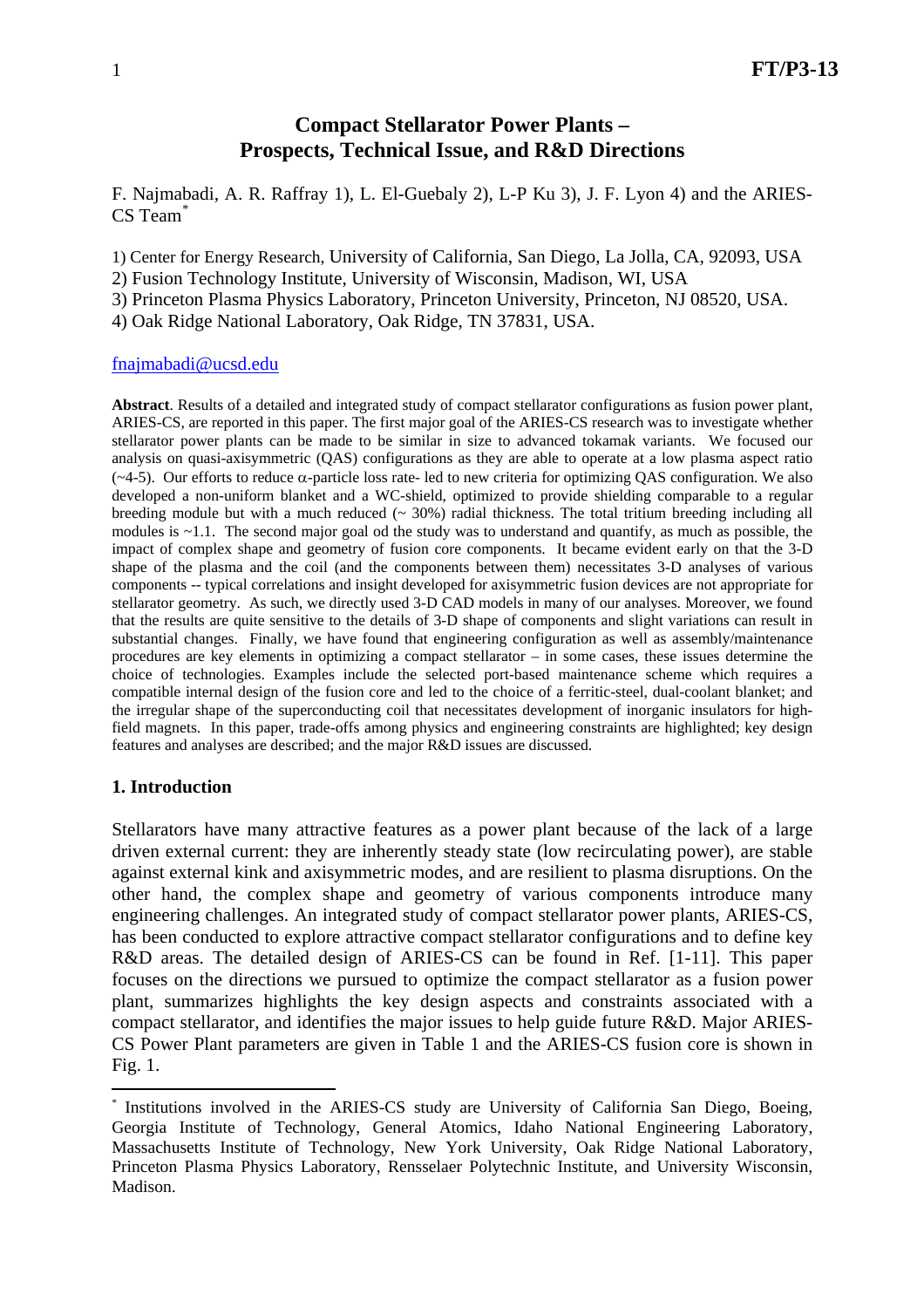# **Compact Stellarator Power Plants – Prospects, Technical Issue, and R&D Directions**

F. Najmabadi, A. R. Raffray 1), L. El-Guebaly 2), L-P Ku 3), J. F. Lyon 4) and the ARIES-CS Team[\\*](#page-0-0)

1) Center for Energy Research, University of California, San Diego, La Jolla, CA, 92093, USA

2) Fusion Technology Institute, University of Wisconsin, Madison, WI, USA

3) Princeton Plasma Physics Laboratory, Princeton University, Princeton, NJ 08520, USA.

4) Oak Ridge National Laboratory, Oak Ridge, TN 37831, USA.

#### [fnajmabadi@ucsd.edu](mailto:fnajmabadi@ucsd.edu)

**Abstract**. Results of a detailed and integrated study of compact stellarator configurations as fusion power plant, ARIES-CS, are reported in this paper. The first major goal of the ARIES-CS research was to investigate whether stellarator power plants can be made to be similar in size to advanced tokamak variants. We focused our analysis on quasi-axisymmetric (QAS) configurations as they are able to operate at a low plasma aspect ratio (~4-5). Our efforts to reduce α-particle loss rate- led to new criteria for optimizing QAS configuration. We also developed a non-uniform blanket and a WC-shield, optimized to provide shielding comparable to a regular breeding module but with a much reduced  $($   $\sim$  30%) radial thickness. The total tritium breeding including all modules is ~1.1. The second major goal od the study was to understand and quantify, as much as possible, the impact of complex shape and geometry of fusion core components. It became evident early on that the 3-D shape of the plasma and the coil (and the components between them) necessitates 3-D analyses of various components -- typical correlations and insight developed for axisymmetric fusion devices are not appropriate for stellarator geometry. As such, we directly used 3-D CAD models in many of our analyses. Moreover, we found that the results are quite sensitive to the details of 3-D shape of components and slight variations can result in substantial changes. Finally, we have found that engineering configuration as well as assembly/maintenance procedures are key elements in optimizing a compact stellarator – in some cases, these issues determine the choice of technologies. Examples include the selected port-based maintenance scheme which requires a compatible internal design of the fusion core and led to the choice of a ferritic-steel, dual-coolant blanket; and the irregular shape of the superconducting coil that necessitates development of inorganic insulators for highfield magnets. In this paper, trade-offs among physics and engineering constraints are highlighted; key design features and analyses are described; and the major R&D issues are discussed.

#### **1. Introduction**

 $\overline{a}$ 

Stellarators have many attractive features as a power plant because of the lack of a large driven external current: they are inherently steady state (low recirculating power), are stable against external kink and axisymmetric modes, and are resilient to plasma disruptions. On the other hand, the complex shape and geometry of various components introduce many engineering challenges. An integrated study of compact stellarator power plants, ARIES-CS, has been conducted to explore attractive compact stellarator configurations and to define key R&D areas. The detailed design of ARIES-CS can be found in Ref. [1-11]. This paper focuses on the directions we pursued to optimize the compact stellarator as a fusion power plant, summarizes highlights the key design aspects and constraints associated with a compact stellarator, and identifies the major issues to help guide future R&D. Major ARIES-CS Power Plant parameters are given in Table 1 and the ARIES-CS fusion core is shown in Fig. 1.

<span id="page-0-0"></span>Institutions involved in the ARIES-CS study are University of California San Diego, Boeing, Georgia Institute of Technology, General Atomics, Idaho National Engineering Laboratory, Massachusetts Institute of Technology, New York University, Oak Ridge National Laboratory, Princeton Plasma Physics Laboratory, Rensselaer Polytechnic Institute, and University Wisconsin, Madison.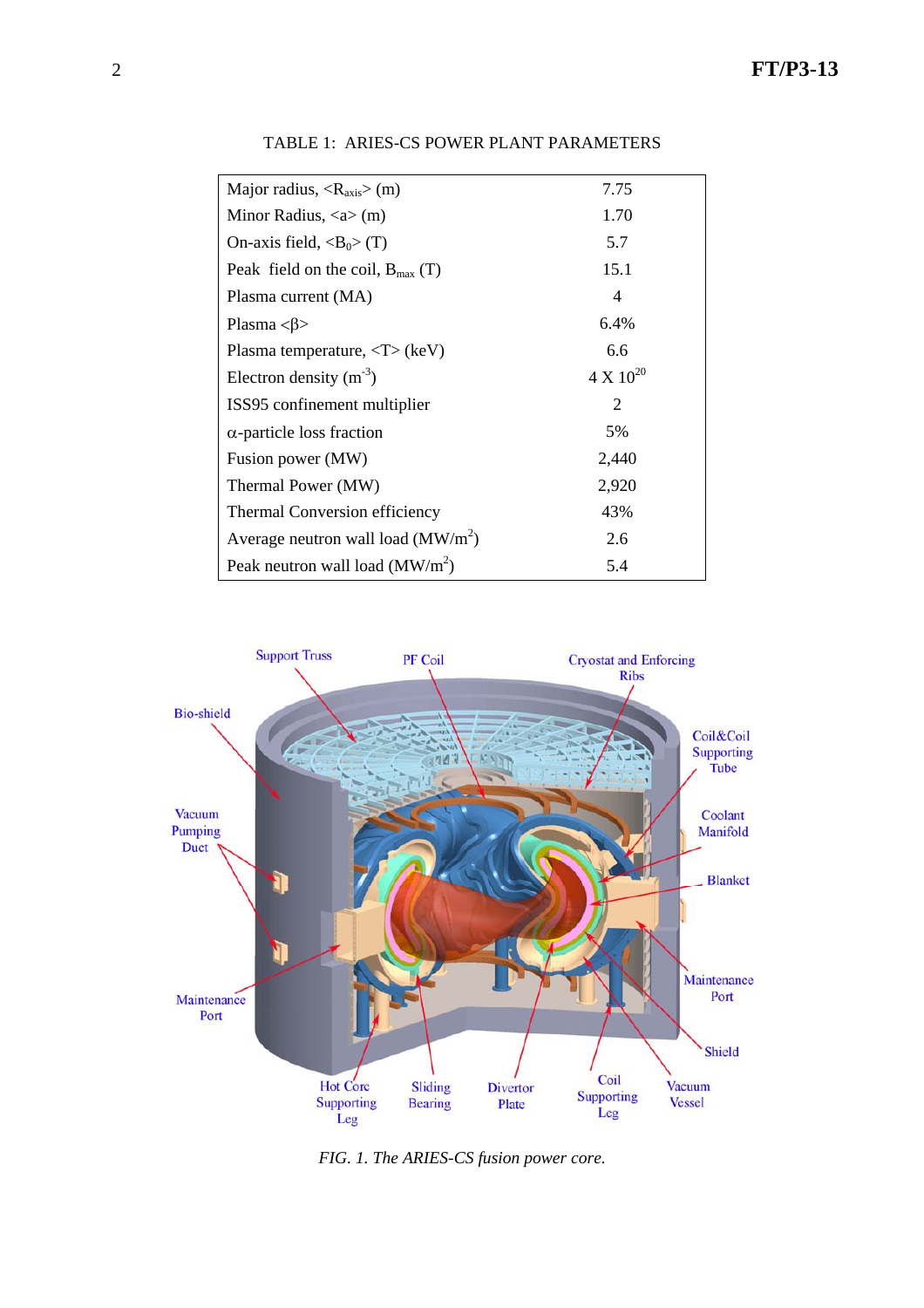| Major radius, $\langle R_{axis} \rangle$ (m)  | 7.75               |
|-----------------------------------------------|--------------------|
| Minor Radius, $\langle a \rangle$ (m)         | 1.70               |
| On-axis field, $\langle B_0 \rangle$ (T)      | 5.7                |
| Peak field on the coil, $B_{\text{max}}(T)$   | 15.1               |
| Plasma current (MA)                           | $\overline{4}$     |
| Plasma $\langle \beta \rangle$                | 6.4%               |
| Plasma temperature, $\langle T \rangle$ (keV) | 6.6                |
| Electron density $(m^{-3})$                   | $4 \times 10^{20}$ |
| ISS95 confinement multiplier                  | 2                  |
| $\alpha$ -particle loss fraction              | 5%                 |
| Fusion power (MW)                             | 2,440              |
| Thermal Power (MW)                            | 2,920              |
| Thermal Conversion efficiency                 | 43%                |
| Average neutron wall load ( $\text{MW/m}^2$ ) | 2.6                |
| Peak neutron wall load $(MW/m2)$              | 5.4                |

TABLE 1: ARIES-CS POWER PLANT PARAMETERS



*FIG. 1. The ARIES-CS fusion power core.*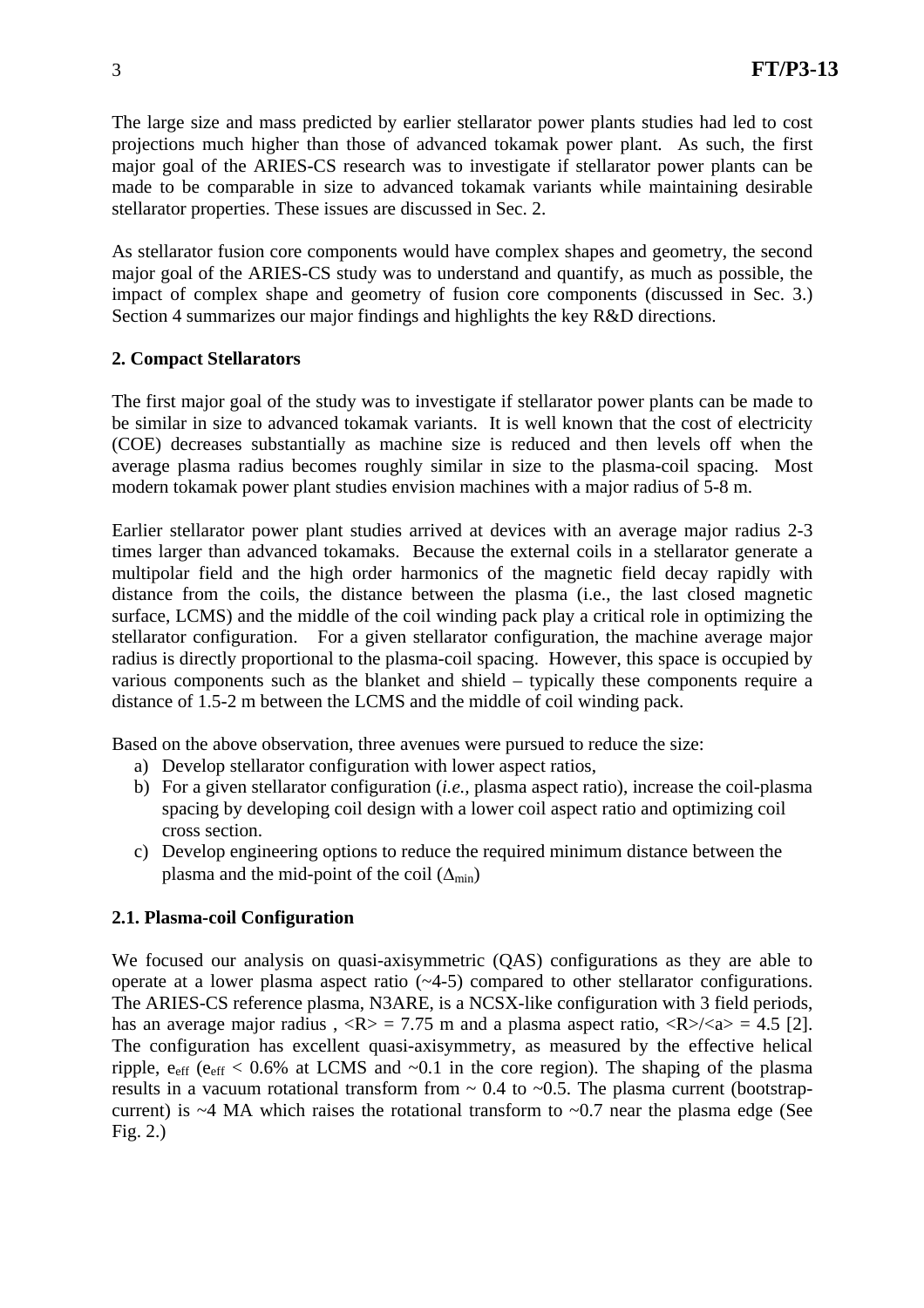The large size and mass predicted by earlier stellarator power plants studies had led to cost projections much higher than those of advanced tokamak power plant. As such, the first major goal of the ARIES-CS research was to investigate if stellarator power plants can be made to be comparable in size to advanced tokamak variants while maintaining desirable stellarator properties. These issues are discussed in Sec. 2.

As stellarator fusion core components would have complex shapes and geometry, the second major goal of the ARIES-CS study was to understand and quantify, as much as possible, the impact of complex shape and geometry of fusion core components (discussed in Sec. 3.) Section 4 summarizes our major findings and highlights the key R&D directions.

## **2. Compact Stellarators**

The first major goal of the study was to investigate if stellarator power plants can be made to be similar in size to advanced tokamak variants. It is well known that the cost of electricity (COE) decreases substantially as machine size is reduced and then levels off when the average plasma radius becomes roughly similar in size to the plasma-coil spacing. Most modern tokamak power plant studies envision machines with a major radius of 5-8 m.

Earlier stellarator power plant studies arrived at devices with an average major radius 2-3 times larger than advanced tokamaks. Because the external coils in a stellarator generate a multipolar field and the high order harmonics of the magnetic field decay rapidly with distance from the coils, the distance between the plasma (i.e., the last closed magnetic surface, LCMS) and the middle of the coil winding pack play a critical role in optimizing the stellarator configuration. For a given stellarator configuration, the machine average major radius is directly proportional to the plasma-coil spacing. However, this space is occupied by various components such as the blanket and shield – typically these components require a distance of 1.5-2 m between the LCMS and the middle of coil winding pack.

Based on the above observation, three avenues were pursued to reduce the size:

- a) Develop stellarator configuration with lower aspect ratios,
- b) For a given stellarator configuration (*i.e.,* plasma aspect ratio), increase the coil-plasma spacing by developing coil design with a lower coil aspect ratio and optimizing coil cross section.
- c) Develop engineering options to reduce the required minimum distance between the plasma and the mid-point of the coil  $(\Delta_{\text{min}})$

#### **2.1. Plasma-coil Configuration**

We focused our analysis on quasi-axisymmetric (QAS) configurations as they are able to operate at a lower plasma aspect ratio (~4-5) compared to other stellarator configurations. The ARIES-CS reference plasma, N3ARE, is a NCSX-like configuration with 3 field periods, has an average major radius ,  $\langle R \rangle = 7.75$  m and a plasma aspect ratio,  $\langle R \rangle / \langle a \rangle = 4.5$  [2]. The configuration has excellent quasi-axisymmetry, as measured by the effective helical ripple,  $e_{\text{eff}}$  ( $e_{\text{eff}}$  < 0.6% at LCMS and  $\sim$ 0.1 in the core region). The shaping of the plasma results in a vacuum rotational transform from  $\sim 0.4$  to  $\sim 0.5$ . The plasma current (bootstrapcurrent) is  $~4$  MA which raises the rotational transform to  $~0.7$  near the plasma edge (See Fig. 2.)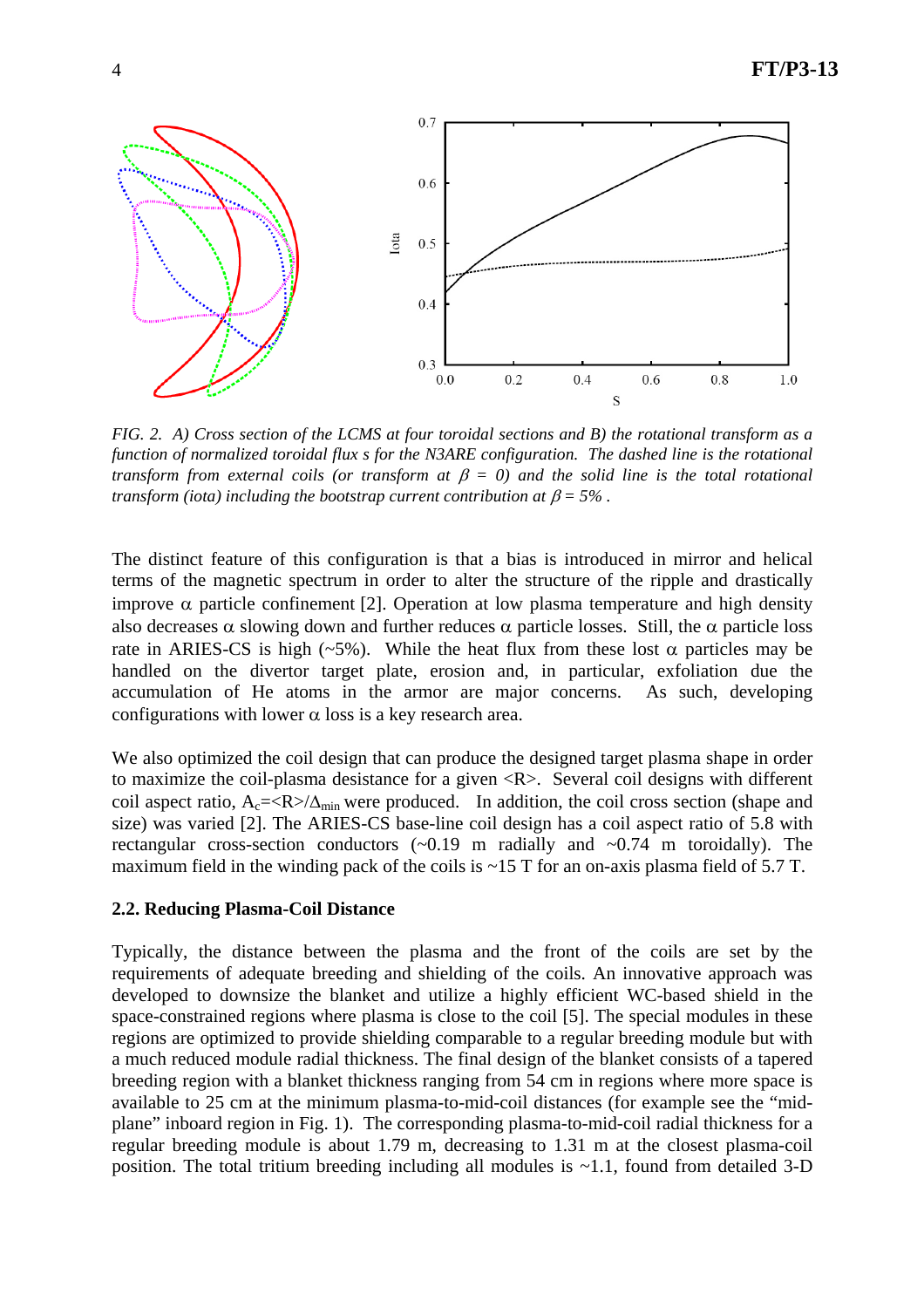

*FIG. 2. A) Cross section of the LCMS at four toroidal sections and B) the rotational transform as a function of normalized toroidal flux s for the N3ARE configuration. The dashed line is the rotational transform from external coils (or transform at*  $\beta = 0$ ) and the solid line is the total rotational *transform (iota) including the bootstrap current contribution at*  $\beta = 5\%$ *.* 

The distinct feature of this configuration is that a bias is introduced in mirror and helical terms of the magnetic spectrum in order to alter the structure of the ripple and drastically improve  $\alpha$  particle confinement [2]. Operation at low plasma temperature and high density also decreases  $\alpha$  slowing down and further reduces  $\alpha$  particle losses. Still, the  $\alpha$  particle loss rate in ARIES-CS is high (~5%). While the heat flux from these lost  $\alpha$  particles may be handled on the divertor target plate, erosion and, in particular, exfoliation due the accumulation of He atoms in the armor are major concerns. As such, developing configurations with lower  $\alpha$  loss is a key research area.

We also optimized the coil design that can produce the designed target plasma shape in order to maximize the coil-plasma desistance for a given <R>. Several coil designs with different coil aspect ratio,  $A_c = \langle R \rangle / \Delta_{min}$  were produced. In addition, the coil cross section (shape and size) was varied [2]. The ARIES-CS base-line coil design has a coil aspect ratio of 5.8 with rectangular cross-section conductors  $\left(\sim 0.19 \text{ m} \text{ radially and } \sim 0.74 \text{ m} \text{ toroidally}\right)$ . The maximum field in the winding pack of the coils is  $\sim$ 15 T for an on-axis plasma field of 5.7 T.

#### **2.2. Reducing Plasma-Coil Distance**

Typically, the distance between the plasma and the front of the coils are set by the requirements of adequate breeding and shielding of the coils. An innovative approach was developed to downsize the blanket and utilize a highly efficient WC-based shield in the space-constrained regions where plasma is close to the coil [5]. The special modules in these regions are optimized to provide shielding comparable to a regular breeding module but with a much reduced module radial thickness. The final design of the blanket consists of a tapered breeding region with a blanket thickness ranging from 54 cm in regions where more space is available to 25 cm at the minimum plasma-to-mid-coil distances (for example see the "midplane" inboard region in Fig. 1). The corresponding plasma-to-mid-coil radial thickness for a regular breeding module is about 1.79 m, decreasing to 1.31 m at the closest plasma-coil position. The total tritium breeding including all modules is  $\sim$ 1.1, found from detailed 3-D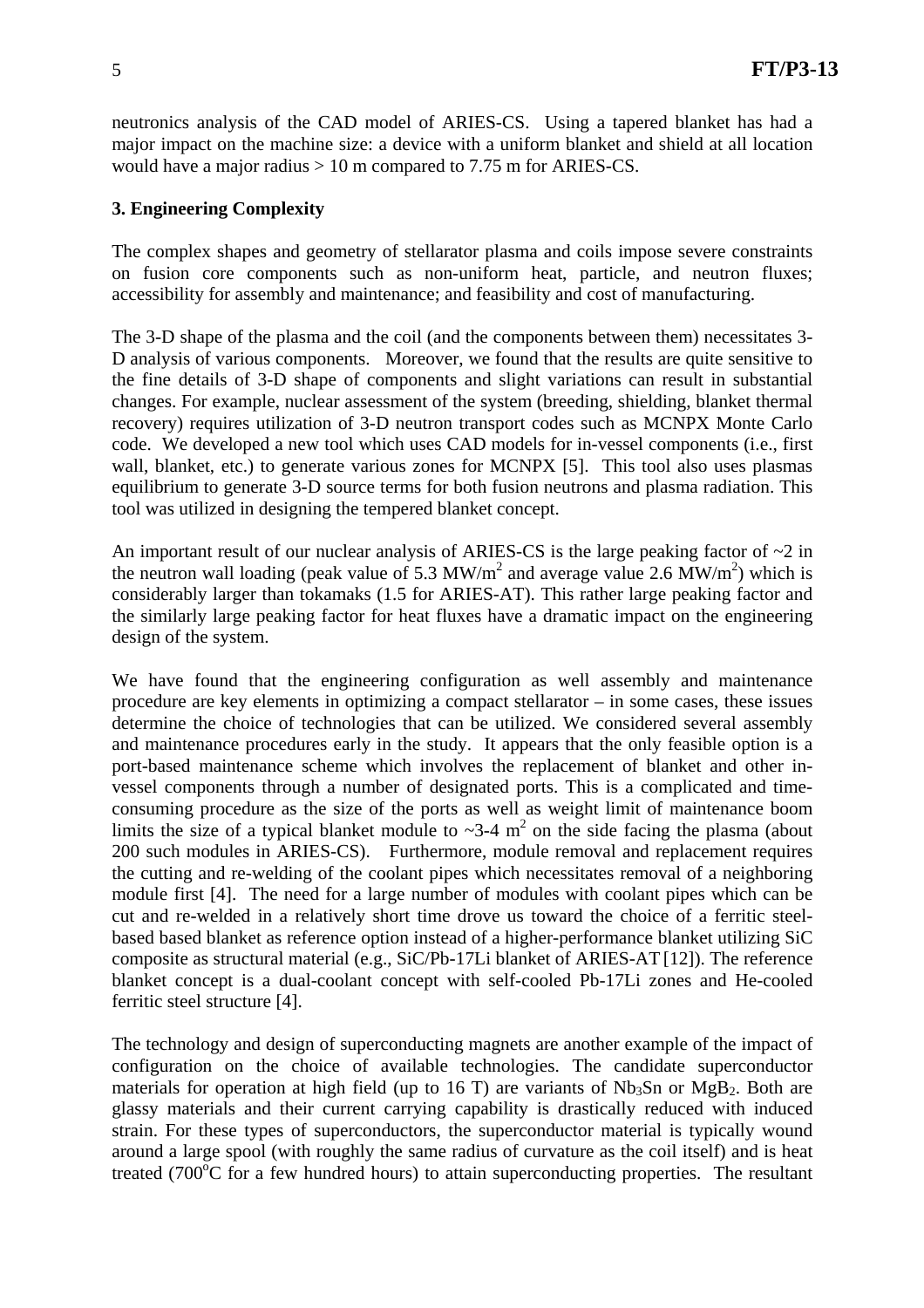neutronics analysis of the CAD model of ARIES-CS. Using a tapered blanket has had a major impact on the machine size: a device with a uniform blanket and shield at all location would have a major radius > 10 m compared to 7.75 m for ARIES-CS.

## **3. Engineering Complexity**

The complex shapes and geometry of stellarator plasma and coils impose severe constraints on fusion core components such as non-uniform heat, particle, and neutron fluxes; accessibility for assembly and maintenance; and feasibility and cost of manufacturing.

The 3-D shape of the plasma and the coil (and the components between them) necessitates 3- D analysis of various components. Moreover, we found that the results are quite sensitive to the fine details of 3-D shape of components and slight variations can result in substantial changes. For example, nuclear assessment of the system (breeding, shielding, blanket thermal recovery) requires utilization of 3-D neutron transport codes such as MCNPX Monte Carlo code. We developed a new tool which uses CAD models for in-vessel components (i.e., first wall, blanket, etc.) to generate various zones for MCNPX [5]. This tool also uses plasmas equilibrium to generate 3-D source terms for both fusion neutrons and plasma radiation. This tool was utilized in designing the tempered blanket concept.

An important result of our nuclear analysis of ARIES-CS is the large peaking factor of  $\sim$ 2 in the neutron wall loading (peak value of 5.3 MW/m<sup>2</sup> and average value 2.6 MW/m<sup>2</sup>) which is considerably larger than tokamaks (1.5 for ARIES-AT). This rather large peaking factor and the similarly large peaking factor for heat fluxes have a dramatic impact on the engineering design of the system.

We have found that the engineering configuration as well assembly and maintenance procedure are key elements in optimizing a compact stellarator – in some cases, these issues determine the choice of technologies that can be utilized. We considered several assembly and maintenance procedures early in the study. It appears that the only feasible option is a port-based maintenance scheme which involves the replacement of blanket and other invessel components through a number of designated ports. This is a complicated and timeconsuming procedure as the size of the ports as well as weight limit of maintenance boom limits the size of a typical blanket module to  $\sim$ 3-4 m<sup>2</sup> on the side facing the plasma (about 200 such modules in ARIES-CS). Furthermore, module removal and replacement requires the cutting and re-welding of the coolant pipes which necessitates removal of a neighboring module first [4]. The need for a large number of modules with coolant pipes which can be cut and re-welded in a relatively short time drove us toward the choice of a ferritic steelbased based blanket as reference option instead of a higher-performance blanket utilizing SiC composite as structural material (e.g., SiC/Pb-17Li blanket of ARIES-AT [12]). The reference blanket concept is a dual-coolant concept with self-cooled Pb-17Li zones and He-cooled ferritic steel structure [4].

The technology and design of superconducting magnets are another example of the impact of configuration on the choice of available technologies. The candidate superconductor materials for operation at high field (up to 16 T) are variants of  $Nb<sub>3</sub>Sn$  or  $MgB<sub>2</sub>$ . Both are glassy materials and their current carrying capability is drastically reduced with induced strain. For these types of superconductors, the superconductor material is typically wound around a large spool (with roughly the same radius of curvature as the coil itself) and is heat treated ( $700^{\circ}$ C for a few hundred hours) to attain superconducting properties. The resultant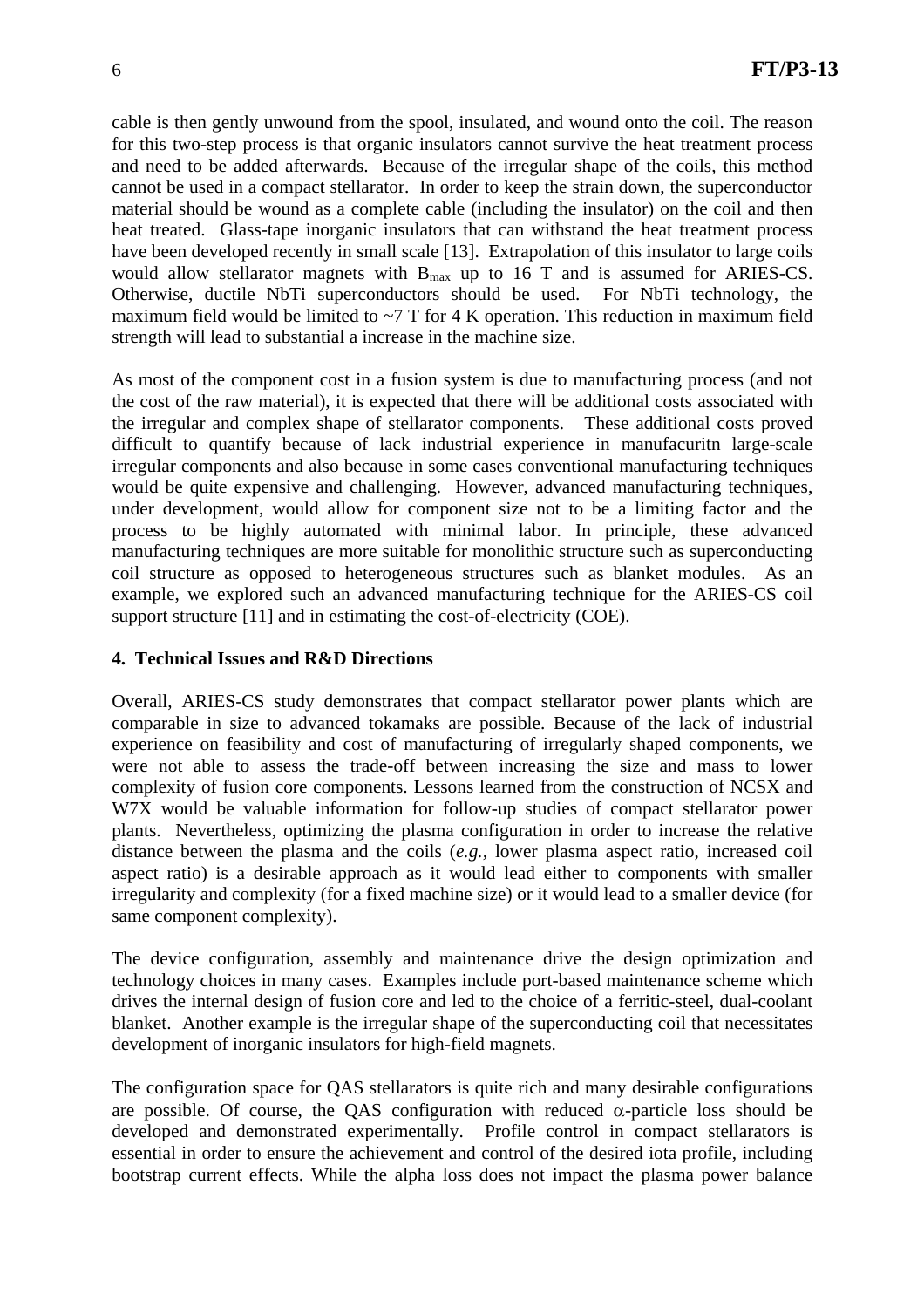cable is then gently unwound from the spool, insulated, and wound onto the coil. The reason for this two-step process is that organic insulators cannot survive the heat treatment process and need to be added afterwards. Because of the irregular shape of the coils, this method cannot be used in a compact stellarator. In order to keep the strain down, the superconductor material should be wound as a complete cable (including the insulator) on the coil and then heat treated. Glass-tape inorganic insulators that can withstand the heat treatment process have been developed recently in small scale [13]. Extrapolation of this insulator to large coils would allow stellarator magnets with  $B_{\text{max}}$  up to 16 T and is assumed for ARIES-CS. Otherwise, ductile NbTi superconductors should be used. For NbTi technology, the maximum field would be limited to  $\sim$  7 T for 4 K operation. This reduction in maximum field strength will lead to substantial a increase in the machine size.

As most of the component cost in a fusion system is due to manufacturing process (and not the cost of the raw material), it is expected that there will be additional costs associated with the irregular and complex shape of stellarator components. These additional costs proved difficult to quantify because of lack industrial experience in manufacuritn large-scale irregular components and also because in some cases conventional manufacturing techniques would be quite expensive and challenging. However, advanced manufacturing techniques, under development, would allow for component size not to be a limiting factor and the process to be highly automated with minimal labor. In principle, these advanced manufacturing techniques are more suitable for monolithic structure such as superconducting coil structure as opposed to heterogeneous structures such as blanket modules. As an example, we explored such an advanced manufacturing technique for the ARIES-CS coil support structure [11] and in estimating the cost-of-electricity (COE).

#### **4. Technical Issues and R&D Directions**

Overall, ARIES-CS study demonstrates that compact stellarator power plants which are comparable in size to advanced tokamaks are possible. Because of the lack of industrial experience on feasibility and cost of manufacturing of irregularly shaped components, we were not able to assess the trade-off between increasing the size and mass to lower complexity of fusion core components. Lessons learned from the construction of NCSX and W7X would be valuable information for follow-up studies of compact stellarator power plants. Nevertheless, optimizing the plasma configuration in order to increase the relative distance between the plasma and the coils (*e.g.,* lower plasma aspect ratio, increased coil aspect ratio) is a desirable approach as it would lead either to components with smaller irregularity and complexity (for a fixed machine size) or it would lead to a smaller device (for same component complexity).

The device configuration, assembly and maintenance drive the design optimization and technology choices in many cases. Examples include port-based maintenance scheme which drives the internal design of fusion core and led to the choice of a ferritic-steel, dual-coolant blanket. Another example is the irregular shape of the superconducting coil that necessitates development of inorganic insulators for high-field magnets.

The configuration space for QAS stellarators is quite rich and many desirable configurations are possible. Of course, the QAS configuration with reduced  $\alpha$ -particle loss should be developed and demonstrated experimentally. Profile control in compact stellarators is essential in order to ensure the achievement and control of the desired iota profile, including bootstrap current effects. While the alpha loss does not impact the plasma power balance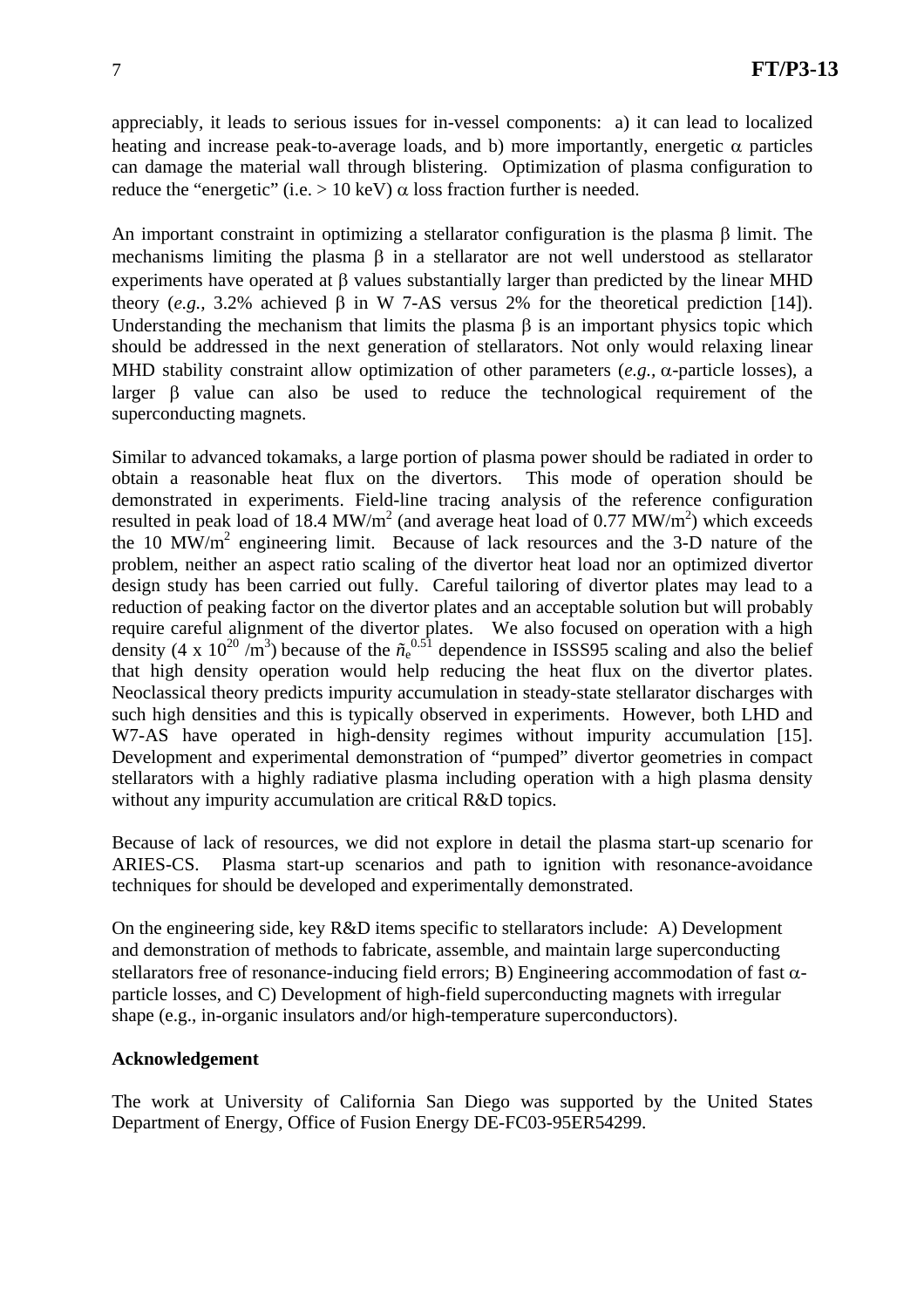appreciably, it leads to serious issues for in-vessel components: a) it can lead to localized heating and increase peak-to-average loads, and b) more importantly, energetic  $\alpha$  particles can damage the material wall through blistering. Optimization of plasma configuration to reduce the "energetic" (i.e.  $> 10 \text{ keV}$ )  $\alpha$  loss fraction further is needed.

An important constraint in optimizing a stellarator configuration is the plasma β limit. The mechanisms limiting the plasma β in a stellarator are not well understood as stellarator experiments have operated at β values substantially larger than predicted by the linear MHD theory (*e.g.,* 3.2% achieved β in W 7-AS versus 2% for the theoretical prediction [14]). Understanding the mechanism that limits the plasma  $\beta$  is an important physics topic which should be addressed in the next generation of stellarators. Not only would relaxing linear MHD stability constraint allow optimization of other parameters (*e.g.,* α-particle losses), a larger β value can also be used to reduce the technological requirement of the superconducting magnets.

Similar to advanced tokamaks, a large portion of plasma power should be radiated in order to obtain a reasonable heat flux on the divertors. This mode of operation should be demonstrated in experiments. Field-line tracing analysis of the reference configuration resulted in peak load of 18.4 MW/ $m^2$  (and average heat load of 0.77 MW/ $m^2$ ) which exceeds the 10 MW/ $m^2$  engineering limit. Because of lack resources and the 3-D nature of the problem, neither an aspect ratio scaling of the divertor heat load nor an optimized divertor design study has been carried out fully. Careful tailoring of divertor plates may lead to a reduction of peaking factor on the divertor plates and an acceptable solution but will probably require careful alignment of the divertor plates. We also focused on operation with a high density (4 x  $10^{20}$  /m<sup>3</sup>) because of the  $\tilde{n}_{e}^{0.51}$  dependence in ISSS95 scaling and also the belief that high density operation would help reducing the heat flux on the divertor plates. Neoclassical theory predicts impurity accumulation in steady-state stellarator discharges with such high densities and this is typically observed in experiments. However, both LHD and W7-AS have operated in high-density regimes without impurity accumulation [15]. Development and experimental demonstration of "pumped" divertor geometries in compact stellarators with a highly radiative plasma including operation with a high plasma density without any impurity accumulation are critical R&D topics.

Because of lack of resources, we did not explore in detail the plasma start-up scenario for ARIES-CS. Plasma start-up scenarios and path to ignition with resonance-avoidance techniques for should be developed and experimentally demonstrated.

On the engineering side, key R&D items specific to stellarators include: A) Development and demonstration of methods to fabricate, assemble, and maintain large superconducting stellarators free of resonance-inducing field errors; B) Engineering accommodation of fast  $\alpha$ particle losses, and C) Development of high-field superconducting magnets with irregular shape (e.g., in-organic insulators and/or high-temperature superconductors).

#### **Acknowledgement**

The work at University of California San Diego was supported by the United States Department of Energy, Office of Fusion Energy DE-FC03-95ER54299.